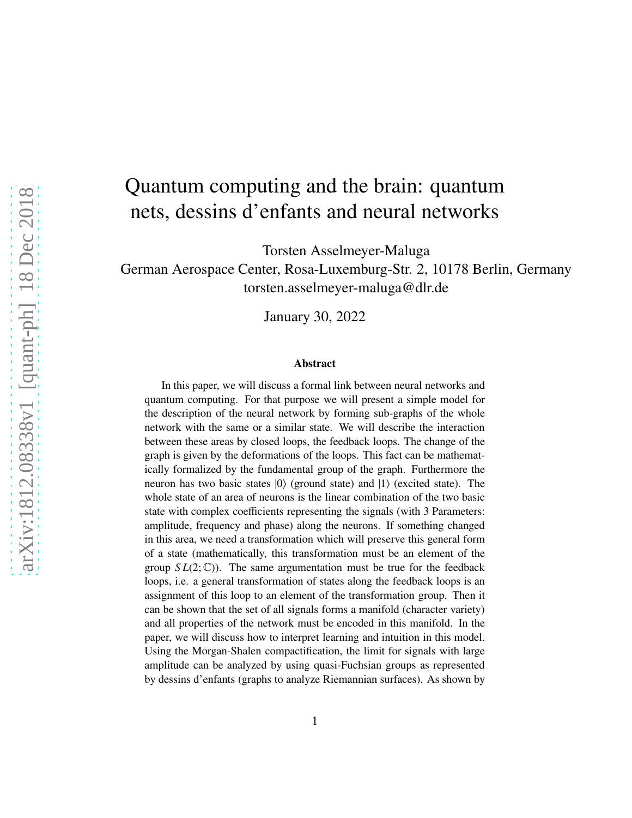# Quantum computing and the brain: quantum nets, dessins d'enfants and neural networks

Torsten Asselmeyer-Maluga

German Aerospace Center, Rosa-Luxemburg-Str. 2, 10178 Berlin, Germany torsten.asselmeyer-maluga@dlr.de

January 30, 2022

#### Abstract

In this paper, we will discuss a formal link between neural networks and quantum computing. For that purpose we will present a simple model for the description of the neural network by forming sub-graphs of the whole network with the same or a similar state. We will describe the interaction between these areas by closed loops, the feedback loops. The change of the graph is given by the deformations of the loops. This fact can be mathematically formalized by the fundamental group of the graph. Furthermore the neuron has two basic states  $|0\rangle$  (ground state) and  $|1\rangle$  (excited state). The whole state of an area of neurons is the linear combination of the two basic state with complex coefficients representing the signals (with 3 Parameters: amplitude, frequency and phase) along the neurons. If something changed in this area, we need a transformation which will preserve this general form of a state (mathematically, this transformation must be an element of the group  $SL(2;\mathbb{C})$ ). The same argumentation must be true for the feedback loops, i.e. a general transformation of states along the feedback loops is an assignment of this loop to an element of the transformation group. Then it can be shown that the set of all signals forms a manifold (character variety) and all properties of the network must be encoded in this manifold. In the paper, we will discuss how to interpret learning and intuition in this model. Using the Morgan-Shalen compactification, the limit for signals with large amplitude can be analyzed by using quasi-Fuchsian groups as represented by dessins d'enfants (graphs to analyze Riemannian surfaces). As shown by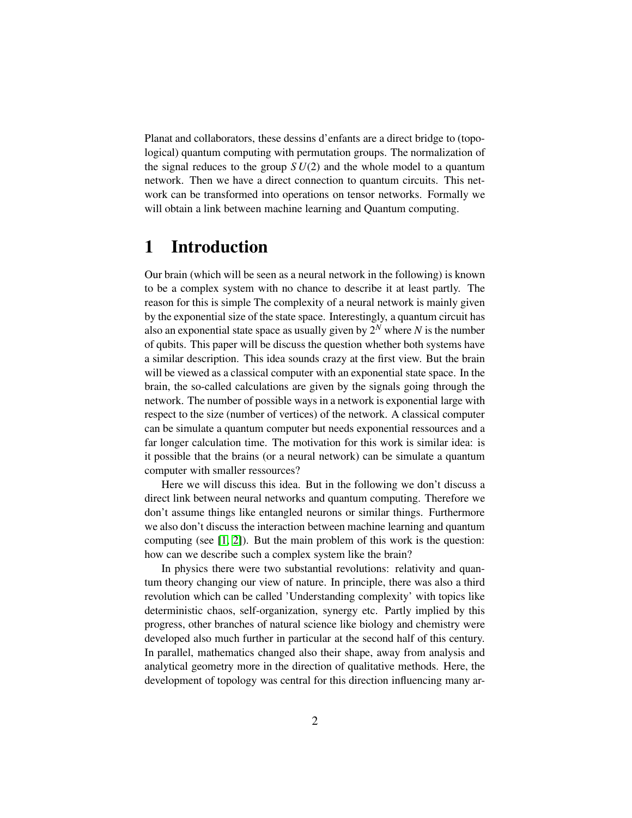Planat and collaborators, these dessins d'enfants are a direct bridge to (topological) quantum computing with permutation groups. The normalization of the signal reduces to the group  $SU(2)$  and the whole model to a quantum network. Then we have a direct connection to quantum circuits. This network can be transformed into operations on tensor networks. Formally we will obtain a link between machine learning and Quantum computing.

## 1 Introduction

Our brain (which will be seen as a neural network in the following) is known to be a complex system with no chance to describe it at least partly. The reason for this is simple The complexity of a neural network is mainly given by the exponential size of the state space. Interestingly, a quantum circuit has also an exponential state space as usually given by  $2^N$  where *N* is the number of qubits. This paper will be discuss the question whether both systems have a similar description. This idea sounds crazy at the first view. But the brain will be viewed as a classical computer with an exponential state space. In the brain, the so-called calculations are given by the signals going through the network. The number of possible ways in a network is exponential large with respect to the size (number of vertices) of the network. A classical computer can be simulate a quantum computer but needs exponential ressources and a far longer calculation time. The motivation for this work is similar idea: is it possible that the brains (or a neural network) can be simulate a quantum computer with smaller ressources?

Here we will discuss this idea. But in the following we don't discuss a direct link between neural networks and quantum computing. Therefore we don't assume things like entangled neurons or similar things. Furthermore we also don't discuss the interaction between machine learning and quantum computing (see [\[1,](#page-14-0) [2\]](#page-15-0)). But the main problem of this work is the question: how can we describe such a complex system like the brain?

In physics there were two substantial revolutions: relativity and quantum theory changing our view of nature. In principle, there was also a third revolution which can be called 'Understanding complexity' with topics like deterministic chaos, self-organization, synergy etc. Partly implied by this progress, other branches of natural science like biology and chemistry were developed also much further in particular at the second half of this century. In parallel, mathematics changed also their shape, away from analysis and analytical geometry more in the direction of qualitative methods. Here, the development of topology was central for this direction influencing many ar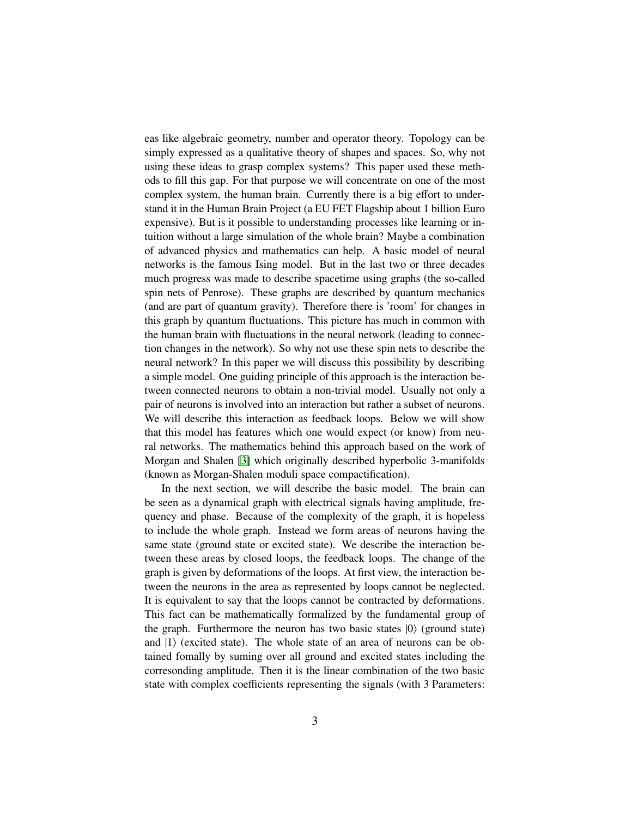eas like algebraic geometry, number and operator theory. Topology can be simply expressed as a qualitative theory of shapes and spaces. So, why not using these ideas to grasp complex systems? This paper used these methods to fill this gap. For that purpose we will concentrate on one of the most complex system, the human brain. Currently there is a big effort to understand it in the Human Brain Project (a EU FET Flagship about 1 billion Euro expensive). But is it possible to understanding processes like learning or intuition without a large simulation of the whole brain? Maybe a combination of advanced physics and mathematics can help. A basic model of neural networks is the famous Ising model. But in the last two or three decades much progress was made to describe spacetime using graphs (the so-called spin nets of Penrose). These graphs are described by quantum mechanics (and are part of quantum gravity). Therefore there is 'room' for changes in this graph by quantum fluctuations. This picture has much in common with the human brain with fluctuations in the neural network (leading to connection changes in the network). So why not use these spin nets to describe the neural network? In this paper we will discuss this possibility by describing a simple model. One guiding principle of this approach is the interaction between connected neurons to obtain a non-trivial model. Usually not only a pair of neurons is involved into an interaction but rather a subset of neurons. We will describe this interaction as feedback loops. Below we will show that this model has features which one would expect (or know) from neural networks. The mathematics behind this approach based on the work of Morgan and Shalen [\[3\]](#page-15-1) which originally described hyperbolic 3-manifolds (known as Morgan-Shalen moduli space compactification).

In the next section, we will describe the basic model. The brain can be seen as a dynamical graph with electrical signals having amplitude, frequency and phase. Because of the complexity of the graph, it is hopeless to include the whole graph. Instead we form areas of neurons having the same state (ground state or excited state). We describe the interaction between these areas by closed loops, the feedback loops. The change of the graph is given by deformations of the loops. At first view, the interaction between the neurons in the area as represented by loops cannot be neglected. It is equivalent to say that the loops cannot be contracted by deformations. This fact can be mathematically formalized by the fundamental group of the graph. Furthermore the neuron has two basic states  $|0\rangle$  (ground state) and  $|1\rangle$  (excited state). The whole state of an area of neurons can be obtained fomally by suming over all ground and excited states including the corresonding amplitude. Then it is the linear combination of the two basic state with complex coefficients representing the signals (with 3 Parameters: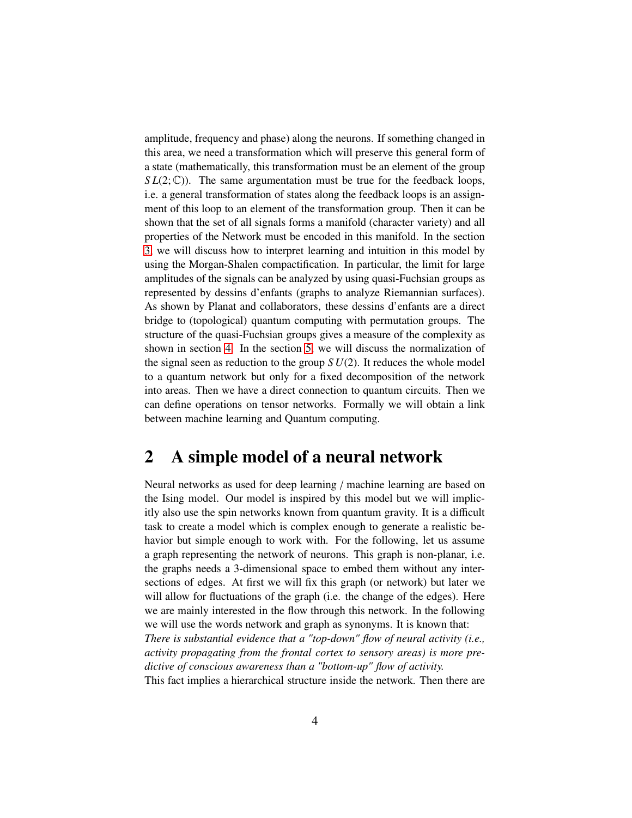amplitude, frequency and phase) along the neurons. If something changed in this area, we need a transformation which will preserve this general form of a state (mathematically, this transformation must be an element of the group  $SL(2;\mathbb{C})$ . The same argumentation must be true for the feedback loops, i.e. a general transformation of states along the feedback loops is an assignment of this loop to an element of the transformation group. Then it can be shown that the set of all signals forms a manifold (character variety) and all properties of the Network must be encoded in this manifold. In the section [3,](#page-7-0) we will discuss how to interpret learning and intuition in this model by using the Morgan-Shalen compactification. In particular, the limit for large amplitudes of the signals can be analyzed by using quasi-Fuchsian groups as represented by dessins d'enfants (graphs to analyze Riemannian surfaces). As shown by Planat and collaborators, these dessins d'enfants are a direct bridge to (topological) quantum computing with permutation groups. The structure of the quasi-Fuchsian groups gives a measure of the complexity as shown in section [4.](#page-11-0) In the section [5,](#page-13-0) we will discuss the normalization of the signal seen as reduction to the group  $SU(2)$ . It reduces the whole model to a quantum network but only for a fixed decomposition of the network into areas. Then we have a direct connection to quantum circuits. Then we can define operations on tensor networks. Formally we will obtain a link between machine learning and Quantum computing.

### 2 A simple model of a neural network

Neural networks as used for deep learning / machine learning are based on the Ising model. Our model is inspired by this model but we will implicitly also use the spin networks known from quantum gravity. It is a difficult task to create a model which is complex enough to generate a realistic behavior but simple enough to work with. For the following, let us assume a graph representing the network of neurons. This graph is non-planar, i.e. the graphs needs a 3-dimensional space to embed them without any intersections of edges. At first we will fix this graph (or network) but later we will allow for fluctuations of the graph (i.e. the change of the edges). Here we are mainly interested in the flow through this network. In the following we will use the words network and graph as synonyms. It is known that: *There is substantial evidence that a "top-down" flow of neural activity (i.e., activity propagating from the frontal cortex to sensory areas) is more pre-*

*dictive of conscious awareness than a "bottom-up" flow of activity.* This fact implies a hierarchical structure inside the network. Then there are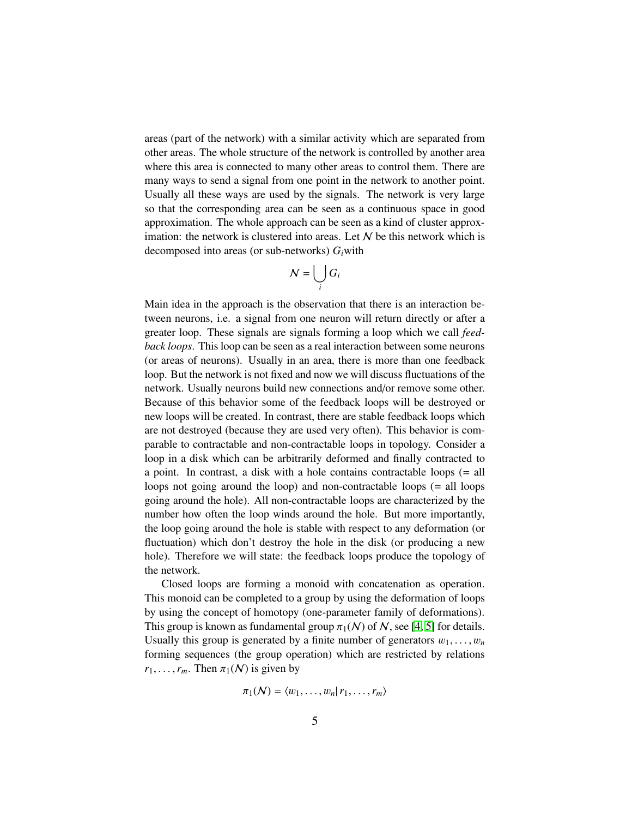areas (part of the network) with a similar activity which are separated from other areas. The whole structure of the network is controlled by another area where this area is connected to many other areas to control them. There are many ways to send a signal from one point in the network to another point. Usually all these ways are used by the signals. The network is very large so that the corresponding area can be seen as a continuous space in good approximation. The whole approach can be seen as a kind of cluster approximation: the network is clustered into areas. Let  $N$  be this network which is decomposed into areas (or sub-networks) *Gi*with

$$
N=\bigcup_i G_i
$$

Main idea in the approach is the observation that there is an interaction between neurons, i.e. a signal from one neuron will return directly or after a greater loop. These signals are signals forming a loop which we call *feedback loops*. This loop can be seen as a real interaction between some neurons (or areas of neurons). Usually in an area, there is more than one feedback loop. But the network is not fixed and now we will discuss fluctuations of the network. Usually neurons build new connections and/or remove some other. Because of this behavior some of the feedback loops will be destroyed or new loops will be created. In contrast, there are stable feedback loops which are not destroyed (because they are used very often). This behavior is comparable to contractable and non-contractable loops in topology. Consider a loop in a disk which can be arbitrarily deformed and finally contracted to a point. In contrast, a disk with a hole contains contractable loops (= all loops not going around the loop) and non-contractable loops (= all loops going around the hole). All non-contractable loops are characterized by the number how often the loop winds around the hole. But more importantly, the loop going around the hole is stable with respect to any deformation (or fluctuation) which don't destroy the hole in the disk (or producing a new hole). Therefore we will state: the feedback loops produce the topology of the network.

Closed loops are forming a monoid with concatenation as operation. This monoid can be completed to a group by using the deformation of loops by using the concept of homotopy (one-parameter family of deformations). This group is known as fundamental group  $\pi_1(\mathcal{N})$  of N, see [\[4,](#page-15-2) [5\]](#page-15-3) for details. Usually this group is generated by a finite number of generators  $w_1, \ldots, w_n$ forming sequences (the group operation) which are restricted by relations  $r_1, \ldots, r_m$ . Then  $\pi_1(\mathcal{N})$  is given by

$$
\pi_1(\mathcal{N}) = \langle w_1, \ldots, w_n | r_1, \ldots, r_m \rangle
$$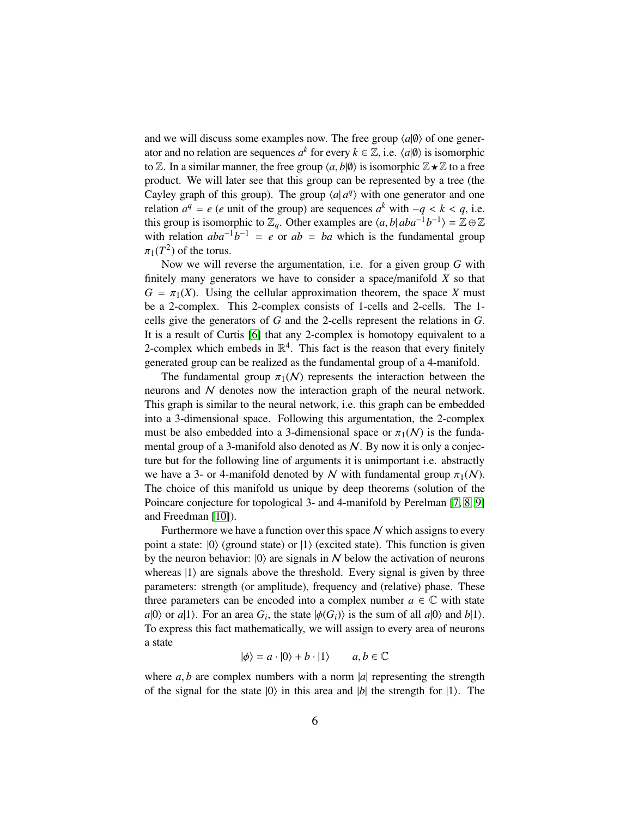and we will discuss some examples now. The free group  $\langle a|0\rangle$  of one generator and no relation are sequences  $a^k$  for every  $k \in \mathbb{Z}$ , i.e.  $\langle a | \emptyset \rangle$  is isomorphic to  $\mathbb{Z}$ . In a similar manner, the free group  $\langle a, b | \emptyset \rangle$  is isomorphic  $\mathbb{Z} \star \mathbb{Z}$  to a free product. We will later see that this group can be represented by a tree (the Cayley graph of this group). The group  $\langle a | a^q \rangle$  with one generator and one relation  $a^q = e$  (*e* unit of the group) are sequences  $a^k$  with  $-q < k < q$ , i.e. this group is isomorphic to  $\mathbb{Z}_q$ . Other examples are  $\langle a, b | aba^{-1}b^{-1} \rangle = \mathbb{Z} \oplus \mathbb{Z}$ with relation  $aba^{-1}b^{-1} = e$  or  $ab = ba$  which is the fundamental group  $\pi_1(T^2)$  of the torus.

Now we will reverse the argumentation, i.e. for a given group *G* with finitely many generators we have to consider a space/manifold *X* so that  $G = \pi_1(X)$ . Using the cellular approximation theorem, the space *X* must be a 2-complex. This 2-complex consists of 1-cells and 2-cells. The 1 cells give the generators of *G* and the 2-cells represent the relations in *G*. It is a result of Curtis [\[6\]](#page-15-4) that any 2-complex is homotopy equivalent to a 2-complex which embeds in  $\mathbb{R}^4$ . This fact is the reason that every finitely generated group can be realized as the fundamental group of a 4-manifold.

The fundamental group  $\pi_1(\mathcal{N})$  represents the interaction between the neurons and N denotes now the interaction graph of the neural network. This graph is similar to the neural network, i.e. this graph can be embedded into a 3-dimensional space. Following this argumentation, the 2-complex must be also embedded into a 3-dimensional space or  $\pi_1(\mathcal{N})$  is the fundamental group of a 3-manifold also denoted as  $N$ . By now it is only a conjecture but for the following line of arguments it is unimportant i.e. abstractly we have a 3- or 4-manifold denoted by N with fundamental group  $\pi_1(N)$ . The choice of this manifold us unique by deep theorems (solution of the Poincare conjecture for topological 3- and 4-manifold by Perelman [\[7,](#page-15-5) [8,](#page-15-6) [9\]](#page-15-7) and Freedman [\[10\]](#page-15-8)).

Furthermore we have a function over this space  $N$  which assigns to every point a state:  $|0\rangle$  (ground state) or  $|1\rangle$  (excited state). This function is given by the neuron behavior:  $|0\rangle$  are signals in N below the activation of neurons whereas  $|1\rangle$  are signals above the threshold. Every signal is given by three parameters: strength (or amplitude), frequency and (relative) phase. These three parameters can be encoded into a complex number  $a \in \mathbb{C}$  with state *a*|0) or *a*|1). For an area  $G_i$ , the state  $|\phi(G_i)\rangle$  is the sum of all *a*|0) and *b*|1). To express this fact mathematically, we will assign to every area of neurons a state

$$
|\phi\rangle = a \cdot |0\rangle + b \cdot |1\rangle \qquad a, b \in \mathbb{C}
$$

where  $a, b$  are complex numbers with a norm  $|a|$  representing the strength of the signal for the state  $|0\rangle$  in this area and  $|b|$  the strength for  $|1\rangle$ . The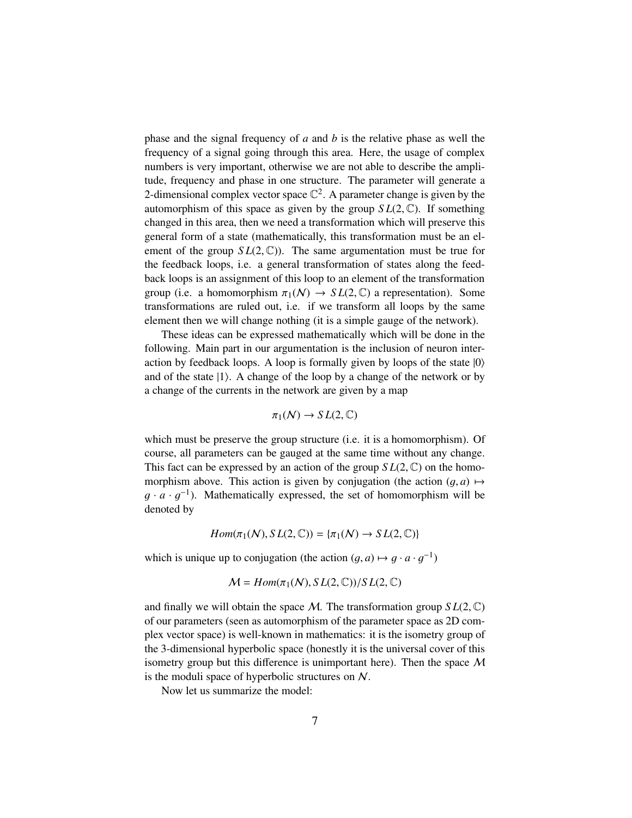phase and the signal frequency of *a* and *b* is the relative phase as well the frequency of a signal going through this area. Here, the usage of complex numbers is very important, otherwise we are not able to describe the amplitude, frequency and phase in one structure. The parameter will generate a 2-dimensional complex vector space  $\mathbb{C}^2$ . A parameter change is given by the automorphism of this space as given by the group  $SL(2,\mathbb{C})$ . If something changed in this area, then we need a transformation which will preserve this general form of a state (mathematically, this transformation must be an element of the group  $SL(2, \mathbb{C})$ ). The same argumentation must be true for the feedback loops, i.e. a general transformation of states along the feedback loops is an assignment of this loop to an element of the transformation group (i.e. a homomorphism  $\pi_1(\mathcal{N}) \to SL(2,\mathbb{C})$  a representation). Some transformations are ruled out, i.e. if we transform all loops by the same element then we will change nothing (it is a simple gauge of the network).

These ideas can be expressed mathematically which will be done in the following. Main part in our argumentation is the inclusion of neuron interaction by feedback loops. A loop is formally given by loops of the state  $|0\rangle$ and of the state  $|1\rangle$ . A change of the loop by a change of the network or by a change of the currents in the network are given by a map

$$
\pi_1(\mathcal{N}) \to SL(2,\mathbb{C})
$$

which must be preserve the group structure (i.e. it is a homomorphism). Of course, all parameters can be gauged at the same time without any change. This fact can be expressed by an action of the group  $SL(2, \mathbb{C})$  on the homomorphism above. This action is given by conjugation (the action  $(q, a) \mapsto$  $g \cdot a \cdot g^{-1}$ ). Mathematically expressed, the set of homomorphism will be denoted by

$$
Hom(\pi_1(N), SL(2, \mathbb{C})) = {\pi_1(N) \rightarrow SL(2, \mathbb{C})}
$$

which is unique up to conjugation (the action  $(g, a) \mapsto g \cdot a \cdot g^{-1}$ )

$$
\mathcal{M} = Hom(\pi_1(\mathcal{N}), SL(2,\mathbb{C}))/SL(2,\mathbb{C})
$$

and finally we will obtain the space  $M$ . The transformation group  $SL(2,\mathbb{C})$ of our parameters (seen as automorphism of the parameter space as 2D complex vector space) is well-known in mathematics: it is the isometry group of the 3-dimensional hyperbolic space (honestly it is the universal cover of this isometry group but this difference is unimportant here). Then the space  $M$ is the moduli space of hyperbolic structures on  $N$ .

Now let us summarize the model: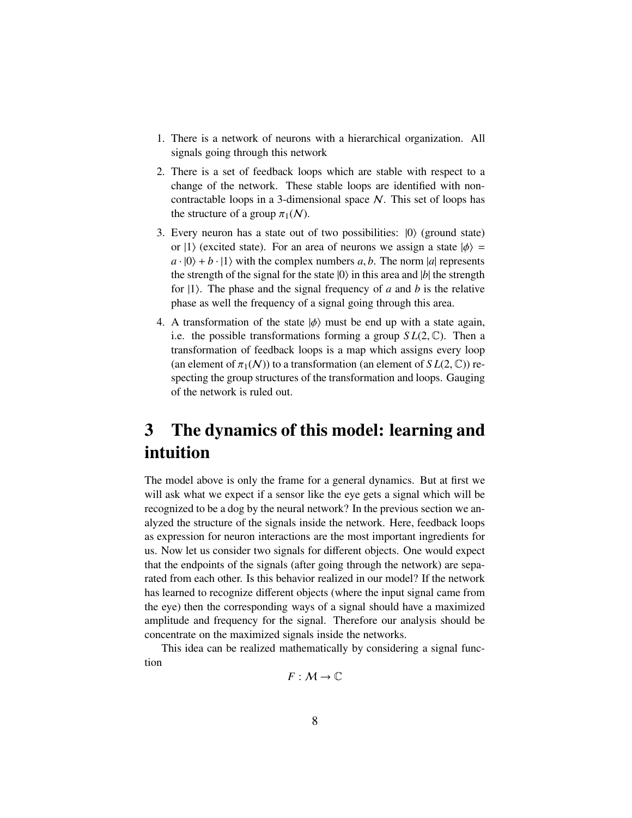- 1. There is a network of neurons with a hierarchical organization. All signals going through this network
- 2. There is a set of feedback loops which are stable with respect to a change of the network. These stable loops are identified with noncontractable loops in a 3-dimensional space  $N$ . This set of loops has the structure of a group  $\pi_1(\mathcal{N})$ .
- 3. Every neuron has a state out of two possibilities:  $|0\rangle$  (ground state) or  $|1\rangle$  (excited state). For an area of neurons we assign a state  $|\phi\rangle$  =  $a \cdot |0\rangle + b \cdot |1\rangle$  with the complex numbers *a*, *b*. The norm |*a*| represents the strength of the signal for the state  $|0\rangle$  in this area and  $|b|$  the strength for  $|1\rangle$ . The phase and the signal frequency of *a* and *b* is the relative phase as well the frequency of a signal going through this area.
- 4. A transformation of the state  $|\phi\rangle$  must be end up with a state again, i.e. the possible transformations forming a group *S L*(2, C). Then a transformation of feedback loops is a map which assigns every loop (an element of  $\pi_1(\mathcal{N})$ ) to a transformation (an element of  $SL(2,\mathbb{C})$ ) respecting the group structures of the transformation and loops. Gauging of the network is ruled out.

## <span id="page-7-0"></span>3 The dynamics of this model: learning and intuition

The model above is only the frame for a general dynamics. But at first we will ask what we expect if a sensor like the eye gets a signal which will be recognized to be a dog by the neural network? In the previous section we analyzed the structure of the signals inside the network. Here, feedback loops as expression for neuron interactions are the most important ingredients for us. Now let us consider two signals for different objects. One would expect that the endpoints of the signals (after going through the network) are separated from each other. Is this behavior realized in our model? If the network has learned to recognize different objects (where the input signal came from the eye) then the corresponding ways of a signal should have a maximized amplitude and frequency for the signal. Therefore our analysis should be concentrate on the maximized signals inside the networks.

This idea can be realized mathematically by considering a signal function

 $F: M \to \mathbb{C}$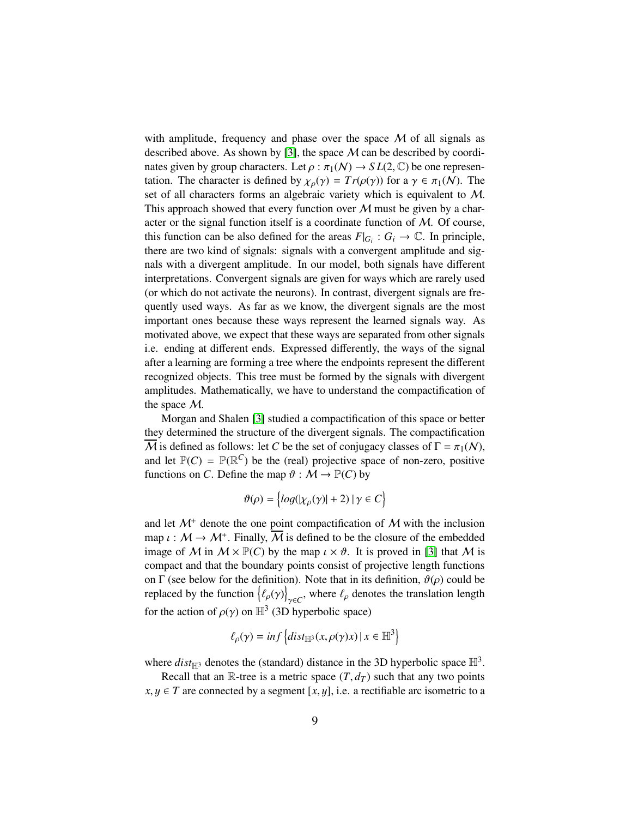with amplitude, frequency and phase over the space  $\mathcal M$  of all signals as described above. As shown by [\[3\]](#page-15-1), the space  $M$  can be described by coordinates given by group characters. Let  $\rho : \pi_1(\mathcal{N}) \to SL(2, \mathbb{C})$  be one representation. The character is defined by  $\chi_{\rho}(\gamma) = Tr(\rho(\gamma))$  for a  $\gamma \in \pi_1(\mathcal{N})$ . The set of all characters forms an algebraic variety which is equivalent to M. This approach showed that every function over  $M$  must be given by a character or the signal function itself is a coordinate function of  $M$ . Of course, this function can be also defined for the areas  $F|_{G_i}: G_i \to \mathbb{C}$ . In principle, there are two kind of signals: signals with a convergent amplitude and signals with a divergent amplitude. In our model, both signals have different interpretations. Convergent signals are given for ways which are rarely used (or which do not activate the neurons). In contrast, divergent signals are frequently used ways. As far as we know, the divergent signals are the most important ones because these ways represent the learned signals way. As motivated above, we expect that these ways are separated from other signals i.e. ending at different ends. Expressed differently, the ways of the signal after a learning are forming a tree where the endpoints represent the different recognized objects. This tree must be formed by the signals with divergent amplitudes. Mathematically, we have to understand the compactification of the space M.

Morgan and Shalen [\[3\]](#page-15-1) studied a compactification of this space or better they determined the structure of the divergent signals. The compactification M is defined as follows: let *C* be the set of conjugacy classes of  $\Gamma = \pi_1(N)$ , and let  $\mathbb{P}(C) = \mathbb{P}(\mathbb{R}^C)$  be the (real) projective space of non-zero, positive functions on *C*. Define the map  $\vartheta : \mathcal{M} \to \mathbb{P}(C)$  by

$$
\vartheta(\rho) = \left\{ \log(|\chi_{\rho}(\gamma)| + 2) \, | \, \gamma \in C \right\}
$$

and let  $\mathcal{M}^+$  denote the one point compactification of  $\mathcal M$  with the inclusion map  $\iota : \mathcal{M} \to \mathcal{M}^+$ . Finally,  $\overline{\mathcal{M}}$  is defined to be the closure of the embedded image of M in  $M \times \mathbb{P}(C)$  by the map  $\iota \times \vartheta$ . It is proved in [\[3\]](#page-15-1) that M is compact and that the boundary points consist of projective length functions on Γ (see below for the definition). Note that in its definition,  $\vartheta(\rho)$  could be replaced by the function  $\{ \ell_\rho(\gamma) \}_{\gamma \in C}$ , where  $\ell_\rho$  denotes the translation length for the action of  $\rho(\gamma)$  on  $\mathbb{H}^3$  (3D hyperbolic space)

$$
\ell_{\rho}(\gamma) = \inf \left\{ \text{dist}_{\mathbb{H}^3}(x, \rho(\gamma)x) \, | \, x \in \mathbb{H}^3 \right\}
$$

where  $dist_{\mathbb{H}^3}$  denotes the (standard) distance in the 3D hyperbolic space  $\mathbb{H}^3$ .

Recall that an R-tree is a metric space  $(T, d_T)$  such that any two points  $x, y \in T$  are connected by a segment [*x*, *y*], i.e. a rectifiable arc isometric to a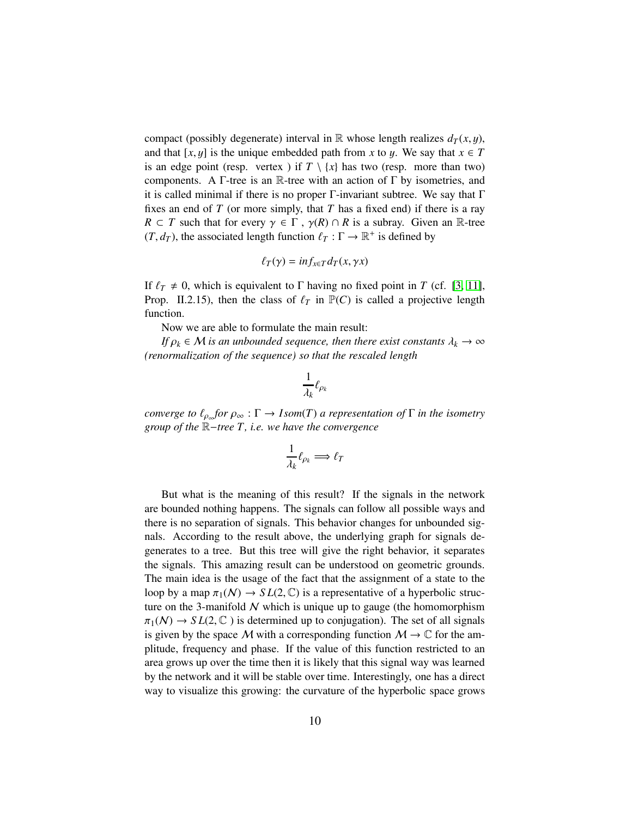compact (possibly degenerate) interval in R whose length realizes  $d_T(x, y)$ , and that  $[x, y]$  is the unique embedded path from *x* to *y*. We say that  $x \in T$ is an edge point (resp. vertex ) if  $T \setminus \{x\}$  has two (resp. more than two) components. A  $\Gamma$ -tree is an  $\mathbb R$ -tree with an action of  $\Gamma$  by isometries, and it is called minimal if there is no proper Γ-invariant subtree. We say that Γ fixes an end of *T* (or more simply, that *T* has a fixed end) if there is a ray *R*  $\subset T$  such that for every  $\gamma \in \Gamma$ ,  $\gamma(R) \cap R$  is a subray. Given an R-tree  $(T, d_T)$ , the associated length function  $\ell_T : \Gamma \to \mathbb{R}^+$  is defined by

$$
\ell_T(\gamma) = \inf_{x \in T} d_T(x, \gamma x)
$$

If  $\ell_T \neq 0$ , which is equivalent to Γ having no fixed point in *T* (cf. [\[3,](#page-15-1) [11\]](#page-15-9), Prop. II.2.15), then the class of  $\ell_T$  in  $\mathbb{P}(C)$  is called a projective length function.

Now we are able to formulate the main result:

*If*  $\rho_k \in M$  *is an unbounded sequence, then there exist constants*  $\lambda_k \to \infty$ *(renormalization of the sequence) so that the rescaled length*

$$
\frac{1}{\lambda_k}\ell_{\rho_k}
$$

*converge to*  $\ell_{\rho\infty}$  *for*  $\rho_{\infty}$  :  $\Gamma \to Isom(T)$  *a representation of*  $\Gamma$  *in the isometry group of the* R−*tree T, i.e. we have the convergence*

$$
\frac{1}{\lambda_k} \ell_{\rho_k} \Longrightarrow \ell_T
$$

But what is the meaning of this result? If the signals in the network are bounded nothing happens. The signals can follow all possible ways and there is no separation of signals. This behavior changes for unbounded signals. According to the result above, the underlying graph for signals degenerates to a tree. But this tree will give the right behavior, it separates the signals. This amazing result can be understood on geometric grounds. The main idea is the usage of the fact that the assignment of a state to the loop by a map  $\pi_1(\mathcal{N}) \to SL(2,\mathbb{C})$  is a representative of a hyperbolic structure on the 3-manifold  $N$  which is unique up to gauge (the homomorphism  $\pi_1(\mathcal{N}) \to SL(2,\mathbb{C})$  is determined up to conjugation). The set of all signals is given by the space M with a corresponding function  $M \to \mathbb{C}$  for the amplitude, frequency and phase. If the value of this function restricted to an area grows up over the time then it is likely that this signal way was learned by the network and it will be stable over time. Interestingly, one has a direct way to visualize this growing: the curvature of the hyperbolic space grows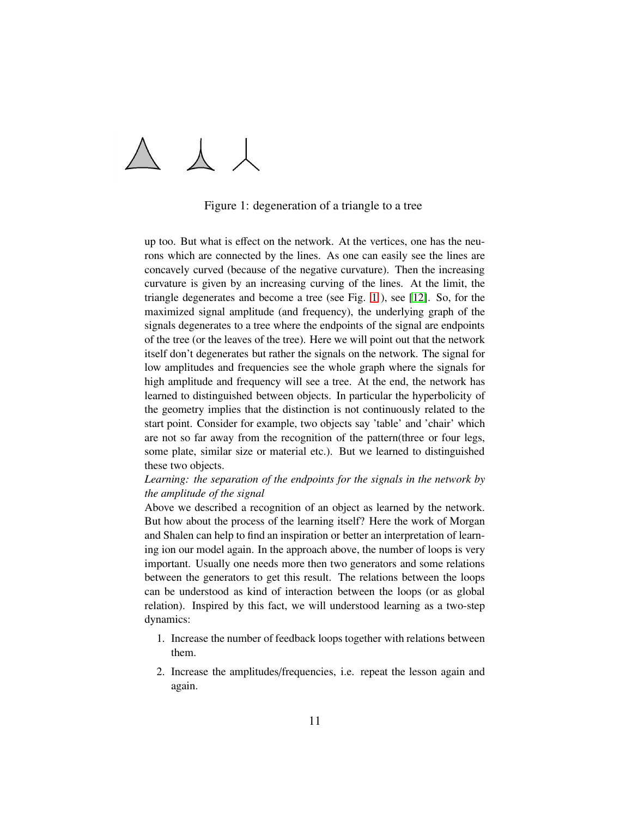$\triangle$   $\lambda$   $\lambda$ 

<span id="page-10-0"></span>Figure 1: degeneration of a triangle to a tree

up too. But what is effect on the network. At the vertices, one has the neurons which are connected by the lines. As one can easily see the lines are concavely curved (because of the negative curvature). Then the increasing curvature is given by an increasing curving of the lines. At the limit, the triangle degenerates and become a tree (see Fig. [1](#page-10-0) ), see [\[12\]](#page-15-10). So, for the maximized signal amplitude (and frequency), the underlying graph of the signals degenerates to a tree where the endpoints of the signal are endpoints of the tree (or the leaves of the tree). Here we will point out that the network itself don't degenerates but rather the signals on the network. The signal for low amplitudes and frequencies see the whole graph where the signals for high amplitude and frequency will see a tree. At the end, the network has learned to distinguished between objects. In particular the hyperbolicity of the geometry implies that the distinction is not continuously related to the start point. Consider for example, two objects say 'table' and 'chair' which are not so far away from the recognition of the pattern(three or four legs, some plate, similar size or material etc.). But we learned to distinguished these two objects.

*Learning: the separation of the endpoints for the signals in the network by the amplitude of the signal*

Above we described a recognition of an object as learned by the network. But how about the process of the learning itself? Here the work of Morgan and Shalen can help to find an inspiration or better an interpretation of learning ion our model again. In the approach above, the number of loops is very important. Usually one needs more then two generators and some relations between the generators to get this result. The relations between the loops can be understood as kind of interaction between the loops (or as global relation). Inspired by this fact, we will understood learning as a two-step dynamics:

- 1. Increase the number of feedback loops together with relations between them.
- 2. Increase the amplitudes/frequencies, i.e. repeat the lesson again and again.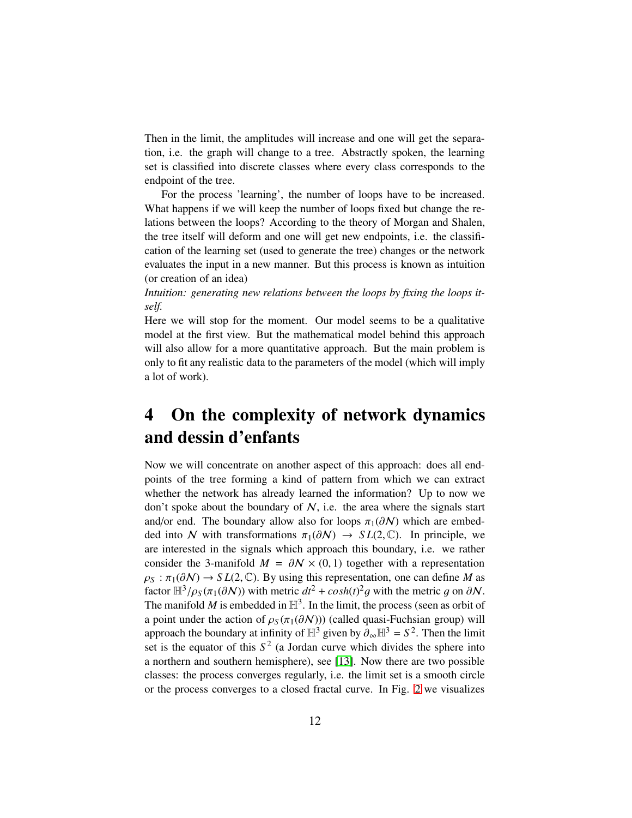Then in the limit, the amplitudes will increase and one will get the separation, i.e. the graph will change to a tree. Abstractly spoken, the learning set is classified into discrete classes where every class corresponds to the endpoint of the tree.

For the process 'learning', the number of loops have to be increased. What happens if we will keep the number of loops fixed but change the relations between the loops? According to the theory of Morgan and Shalen, the tree itself will deform and one will get new endpoints, i.e. the classification of the learning set (used to generate the tree) changes or the network evaluates the input in a new manner. But this process is known as intuition (or creation of an idea)

*Intuition: generating new relations between the loops by fixing the loops itself.*

Here we will stop for the moment. Our model seems to be a qualitative model at the first view. But the mathematical model behind this approach will also allow for a more quantitative approach. But the main problem is only to fit any realistic data to the parameters of the model (which will imply a lot of work).

## <span id="page-11-0"></span>4 On the complexity of network dynamics and dessin d'enfants

Now we will concentrate on another aspect of this approach: does all endpoints of the tree forming a kind of pattern from which we can extract whether the network has already learned the information? Up to now we don't spoke about the boundary of  $N$ , i.e. the area where the signals start and/or end. The boundary allow also for loops  $\pi_1(\partial N)$  which are embedded into N with transformations  $\pi_1(\partial N) \to SL(2,\mathbb{C})$ . In principle, we are interested in the signals which approach this boundary, i.e. we rather consider the 3-manifold  $M = \partial N \times (0, 1)$  together with a representation  $\rho_S : \pi_1(\partial N) \to SL(2, \mathbb{C})$ . By using this representation, one can define *M* as factor  $\mathbb{H}^3/\rho_S(\pi_1(\partial \mathcal{N}))$  with metric  $dt^2 + \cosh(t)^2 g$  with the metric g on  $\partial \mathcal{N}$ . The manifold *M* is embedded in  $\mathbb{H}^3$ . In the limit, the process (seen as orbit of a point under the action of  $\rho_S(\pi_1(\partial N))$  (called quasi-Fuchsian group) will approach the boundary at infinity of  $\mathbb{H}^3$  given by  $\partial_{\infty} \mathbb{H}^3 = S^2$ . Then the limit set is the equator of this  $S<sup>2</sup>$  (a Jordan curve which divides the sphere into a northern and southern hemisphere), see [\[13\]](#page-15-11). Now there are two possible classes: the process converges regularly, i.e. the limit set is a smooth circle or the process converges to a closed fractal curve. In Fig. [2](#page-12-0) we visualizes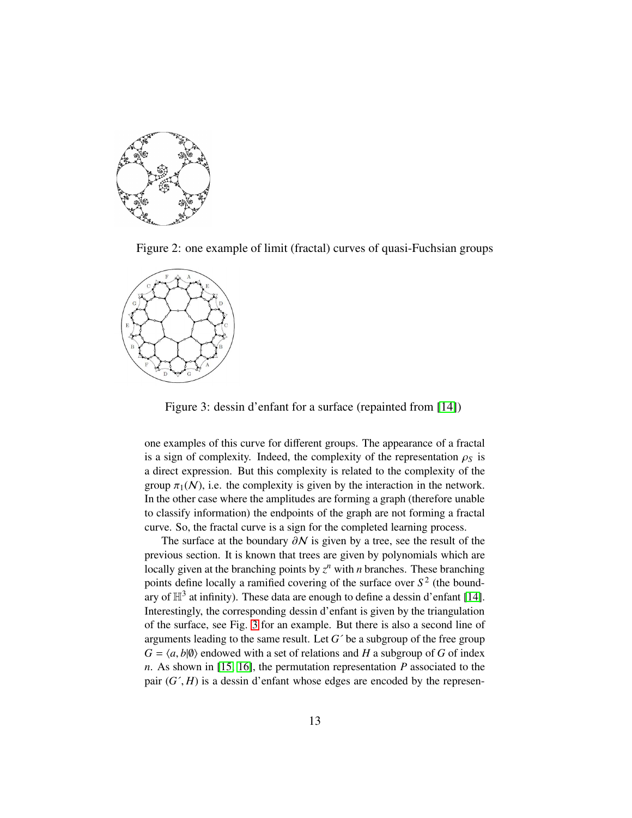

Figure 2: one example of limit (fractal) curves of quasi-Fuchsian groups

<span id="page-12-0"></span>

<span id="page-12-1"></span>Figure 3: dessin d'enfant for a surface (repainted from [\[14\]](#page-15-12))

one examples of this curve for different groups. The appearance of a fractal is a sign of complexity. Indeed, the complexity of the representation  $\rho_S$  is a direct expression. But this complexity is related to the complexity of the group  $\pi_1(\mathcal{N})$ , i.e. the complexity is given by the interaction in the network. In the other case where the amplitudes are forming a graph (therefore unable to classify information) the endpoints of the graph are not forming a fractal curve. So, the fractal curve is a sign for the completed learning process.

The surface at the boundary  $\partial N$  is given by a tree, see the result of the previous section. It is known that trees are given by polynomials which are locally given at the branching points by  $z^n$  with *n* branches. These branching points define locally a ramified covering of the surface over  $S<sup>2</sup>$  (the boundary of  $\mathbb{H}^3$  at infinity). These data are enough to define a dessin d'enfant [\[14\]](#page-15-12). Interestingly, the corresponding dessin d'enfant is given by the triangulation of the surface, see Fig. [3](#page-12-1) for an example. But there is also a second line of arguments leading to the same result. Let *G*´ be a subgroup of the free group  $G = \langle a, b | \emptyset \rangle$  endowed with a set of relations and *H* a subgroup of *G* of index *n*. As shown in [\[15,](#page-15-13) [16\]](#page-15-14), the permutation representation *P* associated to the pair  $(G', H)$  is a dessin d'enfant whose edges are encoded by the represen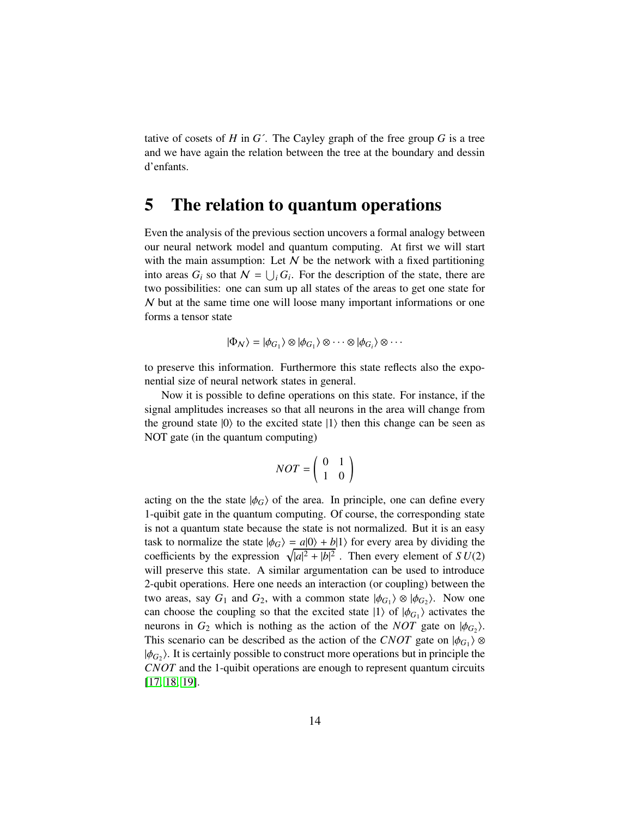tative of cosets of *H* in  $G'$ . The Cayley graph of the free group *G* is a tree and we have again the relation between the tree at the boundary and dessin d'enfants.

### <span id="page-13-0"></span>5 The relation to quantum operations

Even the analysis of the previous section uncovers a formal analogy between our neural network model and quantum computing. At first we will start with the main assumption: Let  $N$  be the network with a fixed partitioning into areas  $G_i$  so that  $N = \bigcup_i G_i$ . For the description of the state, there are two possibilities: one can sum up all states of the areas to get one state for N but at the same time one will loose many important informations or one forms a tensor state

$$
|\Phi_{\mathcal{N}}\rangle=|\phi_{G_1}\rangle\otimes|\phi_{G_1}\rangle\otimes\cdots\otimes|\phi_{G_i}\rangle\otimes\cdots
$$

to preserve this information. Furthermore this state reflects also the exponential size of neural network states in general.

Now it is possible to define operations on this state. For instance, if the signal amplitudes increases so that all neurons in the area will change from the ground state  $|0\rangle$  to the excited state  $|1\rangle$  then this change can be seen as NOT gate (in the quantum computing)

$$
NOT = \left(\begin{array}{cc} 0 & 1 \\ 1 & 0 \end{array}\right)
$$

acting on the the state  $|\phi_G\rangle$  of the area. In principle, one can define every 1-quibit gate in the quantum computing. Of course, the corresponding state is not a quantum state because the state is not normalized. But it is an easy task to normalize the state  $|\phi_G\rangle = a|0\rangle + b|1\rangle$  for every area by dividing the coefficients by the expression  $\sqrt{|a|^2 + |b|^2}$ . Then every element of *SU*(2) will preserve this state. A similar argumentation can be used to introduce 2-qubit operations. Here one needs an interaction (or coupling) between the two areas, say  $G_1$  and  $G_2$ , with a common state  $|\phi_{G_1}\rangle \otimes |\phi_{G_2}\rangle$ . Now one can choose the coupling so that the excited state  $|1\rangle$  of  $|\phi_{G_1}\rangle$  activates the neurons in  $G_2$  which is nothing as the action of the *NOT* gate on  $|\phi_{G_2}\rangle$ . This scenario can be described as the action of the *CNOT* gate on  $|\phi_{G_1}\rangle \otimes$  $|\phi_{G_2}\rangle$ . It is certainly possible to construct more operations but in principle the *CNOT* and the 1-quibit operations are enough to represent quantum circuits [\[17,](#page-16-0) [18,](#page-16-1) [19\]](#page-16-2).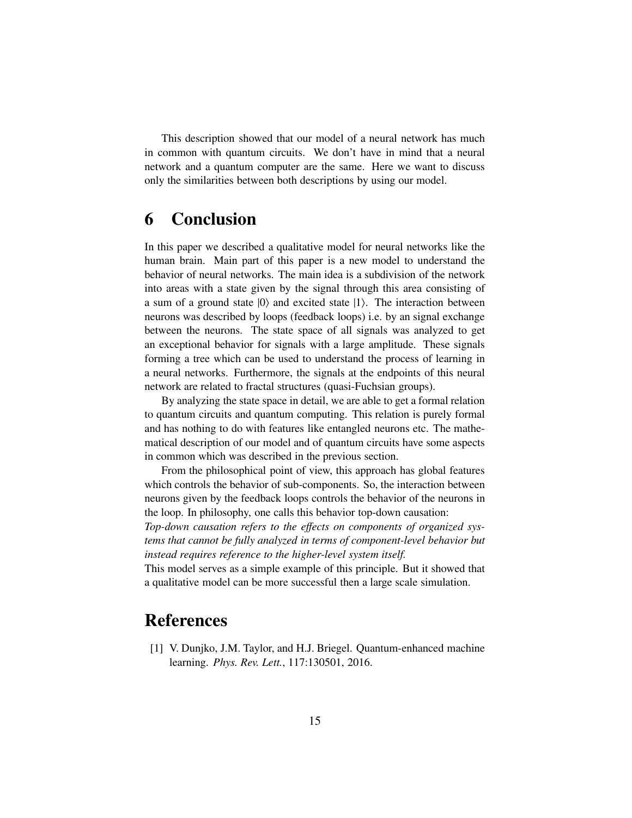This description showed that our model of a neural network has much in common with quantum circuits. We don't have in mind that a neural network and a quantum computer are the same. Here we want to discuss only the similarities between both descriptions by using our model.

## 6 Conclusion

In this paper we described a qualitative model for neural networks like the human brain. Main part of this paper is a new model to understand the behavior of neural networks. The main idea is a subdivision of the network into areas with a state given by the signal through this area consisting of a sum of a ground state  $|0\rangle$  and excited state  $|1\rangle$ . The interaction between neurons was described by loops (feedback loops) i.e. by an signal exchange between the neurons. The state space of all signals was analyzed to get an exceptional behavior for signals with a large amplitude. These signals forming a tree which can be used to understand the process of learning in a neural networks. Furthermore, the signals at the endpoints of this neural network are related to fractal structures (quasi-Fuchsian groups).

By analyzing the state space in detail, we are able to get a formal relation to quantum circuits and quantum computing. This relation is purely formal and has nothing to do with features like entangled neurons etc. The mathematical description of our model and of quantum circuits have some aspects in common which was described in the previous section.

From the philosophical point of view, this approach has global features which controls the behavior of sub-components. So, the interaction between neurons given by the feedback loops controls the behavior of the neurons in the loop. In philosophy, one calls this behavior top-down causation:

*Top-down causation refers to the e*ff*ects on components of organized systems that cannot be fully analyzed in terms of component-level behavior but instead requires reference to the higher-level system itself.*

This model serves as a simple example of this principle. But it showed that a qualitative model can be more successful then a large scale simulation.

## <span id="page-14-0"></span>References

[1] V. Dunjko, J.M. Taylor, and H.J. Briegel. Quantum-enhanced machine learning. *Phys. Rev. Lett.*, 117:130501, 2016.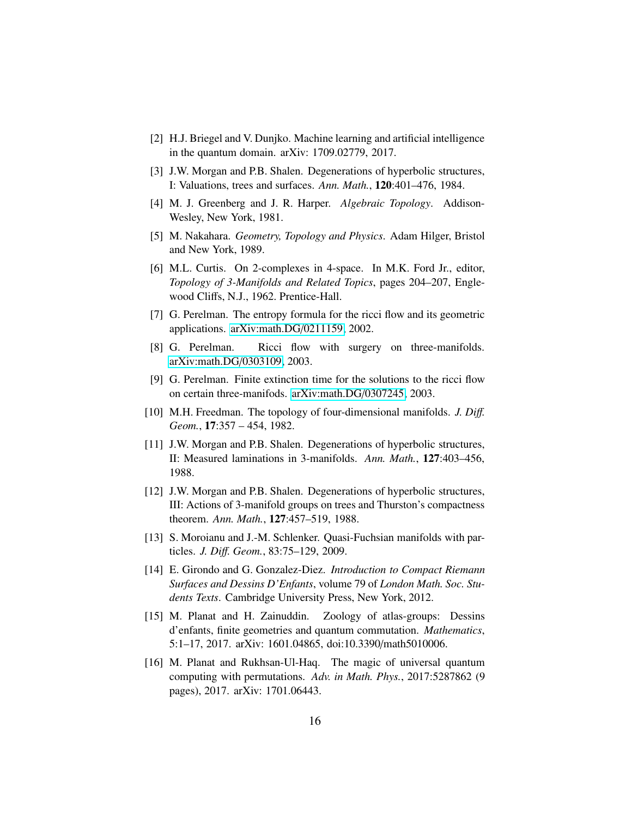- <span id="page-15-1"></span><span id="page-15-0"></span>[2] H.J. Briegel and V. Dunjko. Machine learning and artificial intelligence in the quantum domain. arXiv: 1709.02779, 2017.
- <span id="page-15-2"></span>[3] J.W. Morgan and P.B. Shalen. Degenerations of hyperbolic structures, I: Valuations, trees and surfaces. *Ann. Math.*, 120:401–476, 1984.
- <span id="page-15-3"></span>[4] M. J. Greenberg and J. R. Harper. *Algebraic Topology*. Addison-Wesley, New York, 1981.
- <span id="page-15-4"></span>[5] M. Nakahara. *Geometry, Topology and Physics*. Adam Hilger, Bristol and New York, 1989.
- [6] M.L. Curtis. On 2-complexes in 4-space. In M.K. Ford Jr., editor, *Topology of 3-Manifolds and Related Topics*, pages 204–207, Englewood Cliffs, N.J., 1962. Prentice-Hall.
- <span id="page-15-6"></span><span id="page-15-5"></span>[7] G. Perelman. The entropy formula for the ricci flow and its geometric applications. [arXiv:math.DG](http://arxiv.org/abs/math/0211159)/0211159, 2002.
- <span id="page-15-7"></span>[8] G. Perelman. Ricci flow with surgery on three-manifolds. [arXiv:math.DG](http://arxiv.org/abs/math/0303109)/0303109, 2003.
- [9] G. Perelman. Finite extinction time for the solutions to the ricci flow on certain three-manifods. [arXiv:math.DG](http://arxiv.org/abs/math/0307245)/0307245, 2003.
- <span id="page-15-9"></span><span id="page-15-8"></span>[10] M.H. Freedman. The topology of four-dimensional manifolds. *J. Di*ff*. Geom.*, 17:357 – 454, 1982.
- [11] J.W. Morgan and P.B. Shalen. Degenerations of hyperbolic structures, II: Measured laminations in 3-manifolds. *Ann. Math.*, 127:403–456, 1988.
- <span id="page-15-10"></span>[12] J.W. Morgan and P.B. Shalen. Degenerations of hyperbolic structures, III: Actions of 3-manifold groups on trees and Thurston's compactness theorem. *Ann. Math.*, 127:457–519, 1988.
- <span id="page-15-12"></span><span id="page-15-11"></span>[13] S. Moroianu and J.-M. Schlenker. Quasi-Fuchsian manifolds with particles. *J. Di*ff*. Geom.*, 83:75–129, 2009.
- [14] E. Girondo and G. Gonzalez-Diez. *Introduction to Compact Riemann Surfaces and Dessins D'Enfants*, volume 79 of *London Math. Soc. Students Texts*. Cambridge University Press, New York, 2012.
- <span id="page-15-13"></span>[15] M. Planat and H. Zainuddin. Zoology of atlas-groups: Dessins d'enfants, finite geometries and quantum commutation. *Mathematics*, 5:1–17, 2017. arXiv: 1601.04865, doi:10.3390/math5010006.
- <span id="page-15-14"></span>[16] M. Planat and Rukhsan-Ul-Haq. The magic of universal quantum computing with permutations. *Adv. in Math. Phys.*, 2017:5287862 (9 pages), 2017. arXiv: 1701.06443.